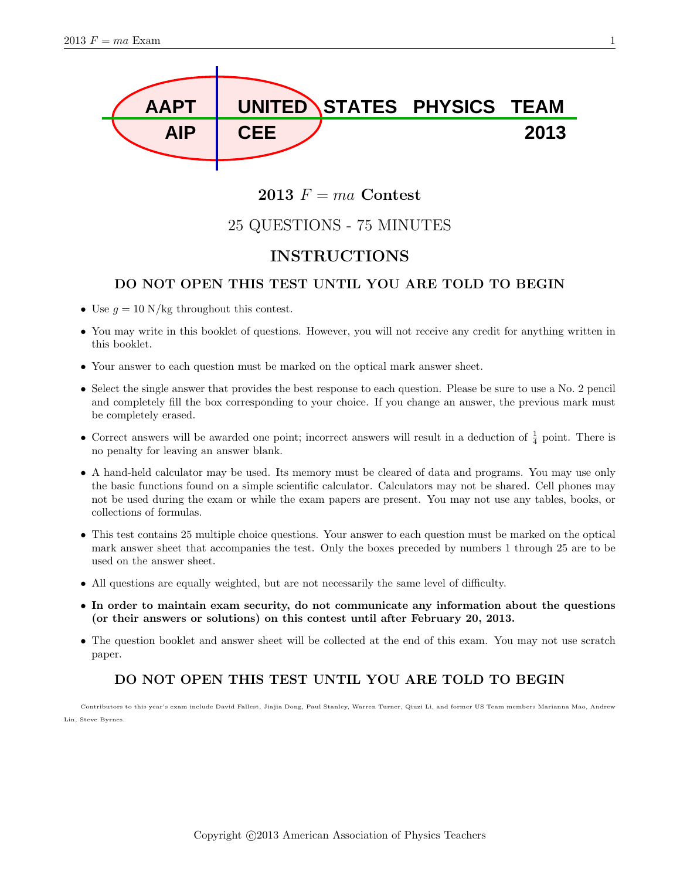

## 2013  $F = ma$  Contest

# 25 QUESTIONS - 75 MINUTES

## INSTRUCTIONS

### DO NOT OPEN THIS TEST UNTIL YOU ARE TOLD TO BEGIN

- Use  $g = 10$  N/kg throughout this contest.
- You may write in this booklet of questions. However, you will not receive any credit for anything written in this booklet.
- Your answer to each question must be marked on the optical mark answer sheet.
- Select the single answer that provides the best response to each question. Please be sure to use a No. 2 pencil and completely fill the box corresponding to your choice. If you change an answer, the previous mark must be completely erased.
- Correct answers will be awarded one point; incorrect answers will result in a deduction of  $\frac{1}{4}$  point. There is no penalty for leaving an answer blank.
- A hand-held calculator may be used. Its memory must be cleared of data and programs. You may use only the basic functions found on a simple scientific calculator. Calculators may not be shared. Cell phones may not be used during the exam or while the exam papers are present. You may not use any tables, books, or collections of formulas.
- This test contains 25 multiple choice questions. Your answer to each question must be marked on the optical mark answer sheet that accompanies the test. Only the boxes preceded by numbers 1 through 25 are to be used on the answer sheet.
- All questions are equally weighted, but are not necessarily the same level of difficulty.
- In order to maintain exam security, do not communicate any information about the questions (or their answers or solutions) on this contest until after February 20, 2013.
- The question booklet and answer sheet will be collected at the end of this exam. You may not use scratch paper.

## DO NOT OPEN THIS TEST UNTIL YOU ARE TOLD TO BEGIN

Contributors to this year's exam include David Fallest, Jiajia Dong, Paul Stanley, Warren Turner, Qiuzi Li, and former US Team members Marianna Mao, Andrew Lin, Steve Byrnes.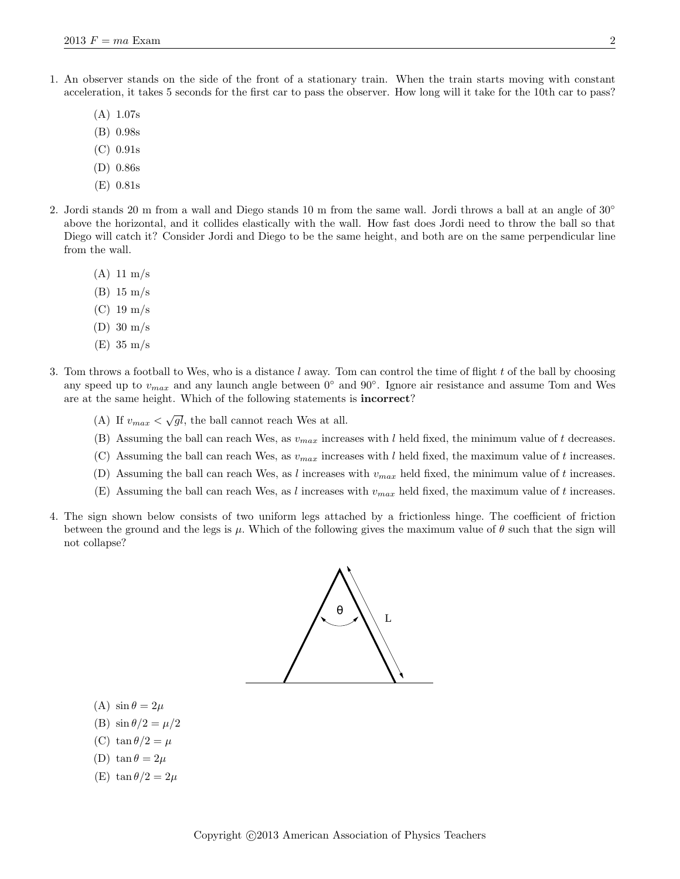- 1. An observer stands on the side of the front of a stationary train. When the train starts moving with constant acceleration, it takes 5 seconds for the first car to pass the observer. How long will it take for the 10th car to pass?
	- (A) 1.07s
	- (B) 0.98s
	- (C) 0.91s
	- (D) 0.86s
	- (E) 0.81s
- 2. Jordi stands 20 m from a wall and Diego stands 10 m from the same wall. Jordi throws a ball at an angle of 30° above the horizontal, and it collides elastically with the wall. How fast does Jordi need to throw the ball so that Diego will catch it? Consider Jordi and Diego to be the same height, and both are on the same perpendicular line from the wall.
	- (A) 11 m/s
	- (B) 15 m/s
	- (C) 19 m/s
	- (D) 30 m/s
	- (E) 35 m/s
- 3. Tom throws a football to Wes, who is a distance  $l$  away. Tom can control the time of flight  $t$  of the ball by choosing any speed up to  $v_{max}$  and any launch angle between  $0°$  and  $90°$ . Ignore air resistance and assume Tom and Wes are at the same height. Which of the following statements is incorrect?
	- (A) If  $v_{max} < \sqrt{gl}$ , the ball cannot reach Wes at all.
	- (B) Assuming the ball can reach Wes, as  $v_{max}$  increases with l held fixed, the minimum value of t decreases.
	- (C) Assuming the ball can reach Wes, as  $v_{max}$  increases with l held fixed, the maximum value of t increases.
	- (D) Assuming the ball can reach Wes, as l increases with  $v_{max}$  held fixed, the minimum value of t increases.
	- (E) Assuming the ball can reach Wes, as l increases with  $v_{max}$  held fixed, the maximum value of t increases.
- 4. The sign shown below consists of two uniform legs attached by a frictionless hinge. The coefficient of friction between the ground and the legs is  $\mu$ . Which of the following gives the maximum value of  $\theta$  such that the sign will not collapse?



- (A)  $\sin \theta = 2\mu$
- (B)  $\sin \theta/2 = \mu/2$
- (C) tan  $\theta/2 = \mu$
- (D) tan  $\theta = 2\mu$
- (E) tan  $\theta/2 = 2\mu$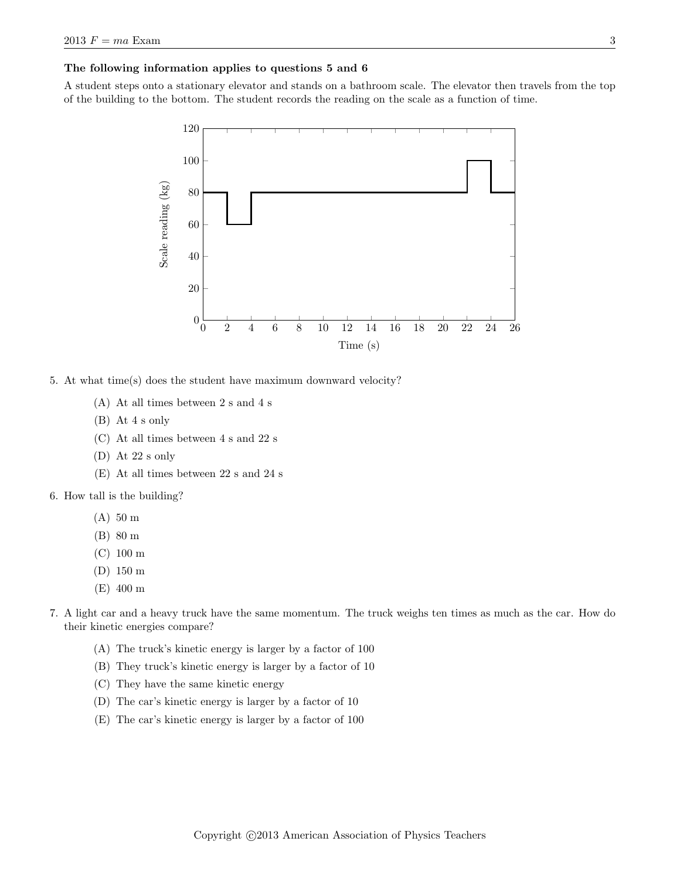#### The following information applies to questions 5 and 6

A student steps onto a stationary elevator and stands on a bathroom scale. The elevator then travels from the top of the building to the bottom. The student records the reading on the scale as a function of time.



5. At what time(s) does the student have maximum downward velocity?

- (A) At all times between 2 s and 4 s
- (B) At 4 s only
- (C) At all times between 4 s and 22 s
- (D) At 22 s only
- (E) At all times between 22 s and 24 s
- 6. How tall is the building?
	- (A) 50 m
	- (B) 80 m
	- (C) 100 m
	- (D) 150 m
	- (E) 400 m
- 7. A light car and a heavy truck have the same momentum. The truck weighs ten times as much as the car. How do their kinetic energies compare?
	- (A) The truck's kinetic energy is larger by a factor of 100
	- (B) They truck's kinetic energy is larger by a factor of 10
	- (C) They have the same kinetic energy
	- (D) The car's kinetic energy is larger by a factor of 10
	- (E) The car's kinetic energy is larger by a factor of 100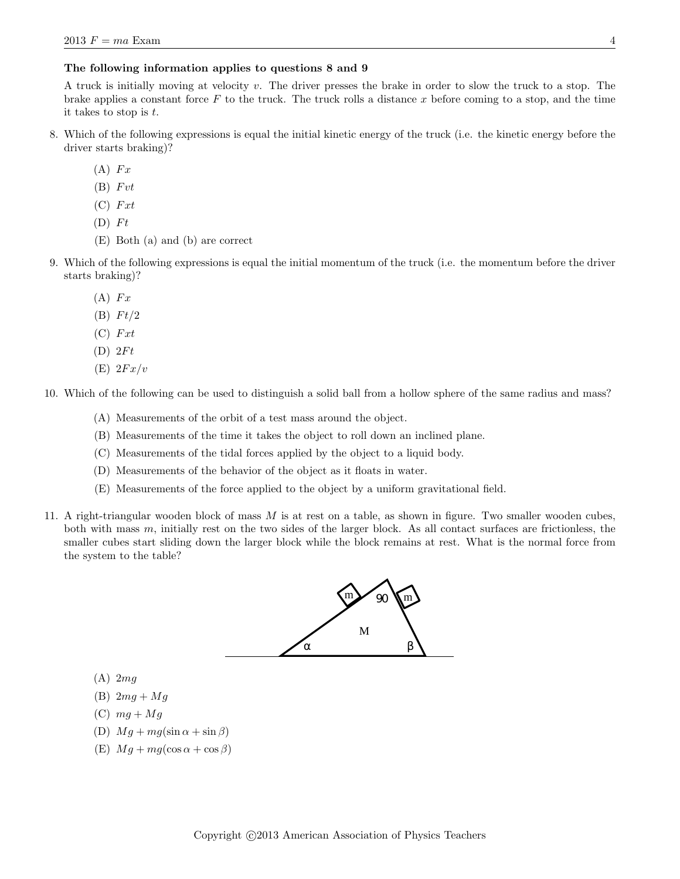### The following information applies to questions 8 and 9

A truck is initially moving at velocity v. The driver presses the brake in order to slow the truck to a stop. The brake applies a constant force  $F$  to the truck. The truck rolls a distance x before coming to a stop, and the time it takes to stop is t.

- 8. Which of the following expressions is equal the initial kinetic energy of the truck (i.e. the kinetic energy before the driver starts braking)?
	- $(A)$   $Fx$
	- $(B)$   $Fvt$
	- $(C)$   $Fxt$
	- $(D)$   $Ft$
	- (E) Both (a) and (b) are correct
- 9. Which of the following expressions is equal the initial momentum of the truck (i.e. the momentum before the driver starts braking)?
	- $(A)$   $Fx$
	- $(B) \tFt/2$
	- $(C)$   $Fxt$
	- $(D) 2Ft$
	- $(E) 2Fx/v$

10. Which of the following can be used to distinguish a solid ball from a hollow sphere of the same radius and mass?

- (A) Measurements of the orbit of a test mass around the object.
- (B) Measurements of the time it takes the object to roll down an inclined plane.
- (C) Measurements of the tidal forces applied by the object to a liquid body.
- (D) Measurements of the behavior of the object as it floats in water.
- (E) Measurements of the force applied to the object by a uniform gravitational field.
- 11. A right-triangular wooden block of mass M is at rest on a table, as shown in figure. Two smaller wooden cubes, both with mass  $m$ , initially rest on the two sides of the larger block. As all contact surfaces are frictionless, the smaller cubes start sliding down the larger block while the block remains at rest. What is the normal force from the system to the table?



- $(A)$  2mg
- (B)  $2mg + Mg$
- (C)  $mg + Mg$
- (D)  $Mg + mg(\sin \alpha + \sin \beta)$
- (E)  $Mg + mg(\cos \alpha + \cos \beta)$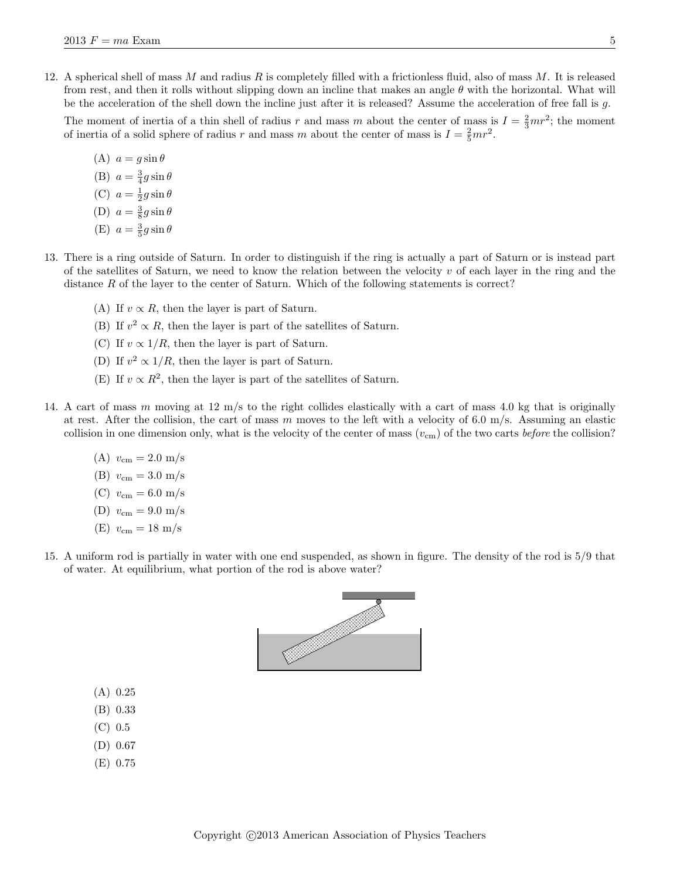12. A spherical shell of mass  $M$  and radius  $R$  is completely filled with a frictionless fluid, also of mass  $M$ . It is released from rest, and then it rolls without slipping down an incline that makes an angle  $\theta$  with the horizontal. What will be the acceleration of the shell down the incline just after it is released? Assume the acceleration of free fall is  $g$ .

The moment of inertia of a thin shell of radius r and mass m about the center of mass is  $I = \frac{2}{3}mr^2$ ; the moment of inertia of a solid sphere of radius r and mass m about the center of mass is  $I = \frac{2}{5}mr^2$ .

- (A)  $a = g \sin \theta$ (B)  $a = \frac{3}{4}g\sin\theta$ (C)  $a = \frac{1}{2}g\sin\theta$ (D)  $a = \frac{3}{8}g\sin\theta$ (E)  $a = \frac{3}{5}g\sin\theta$
- 13. There is a ring outside of Saturn. In order to distinguish if the ring is actually a part of Saturn or is instead part of the satellites of Saturn, we need to know the relation between the velocity  $v$  of each layer in the ring and the distance  $R$  of the layer to the center of Saturn. Which of the following statements is correct?
	- (A) If  $v \propto R$ , then the layer is part of Saturn.
	- (B) If  $v^2 \propto R$ , then the layer is part of the satellites of Saturn.
	- (C) If  $v \propto 1/R$ , then the layer is part of Saturn.
	- (D) If  $v^2 \propto 1/R$ , then the layer is part of Saturn.
	- (E) If  $v \propto R^2$ , then the layer is part of the satellites of Saturn.
- 14. A cart of mass m moving at 12 m/s to the right collides elastically with a cart of mass 4.0 kg that is originally at rest. After the collision, the cart of mass m moves to the left with a velocity of 6.0 m/s. Assuming an elastic collision in one dimension only, what is the velocity of the center of mass  $(v_{\rm cm})$  of the two carts before the collision?
	- (A)  $v_{\rm cm} = 2.0 \text{ m/s}$
	- (B)  $v_{\rm cm} = 3.0 \text{ m/s}$
	- (C)  $v_{\rm cm} = 6.0 \text{ m/s}$
	- (D)  $v_{\rm cm} = 9.0 \text{ m/s}$
	- (E)  $v_{\rm cm} = 18 \text{ m/s}$
- 15. A uniform rod is partially in water with one end suspended, as shown in figure. The density of the rod is 5/9 that of water. At equilibrium, what portion of the rod is above water?



- (A) 0.25
- (B) 0.33
- (C) 0.5
- (D) 0.67
- (E) 0.75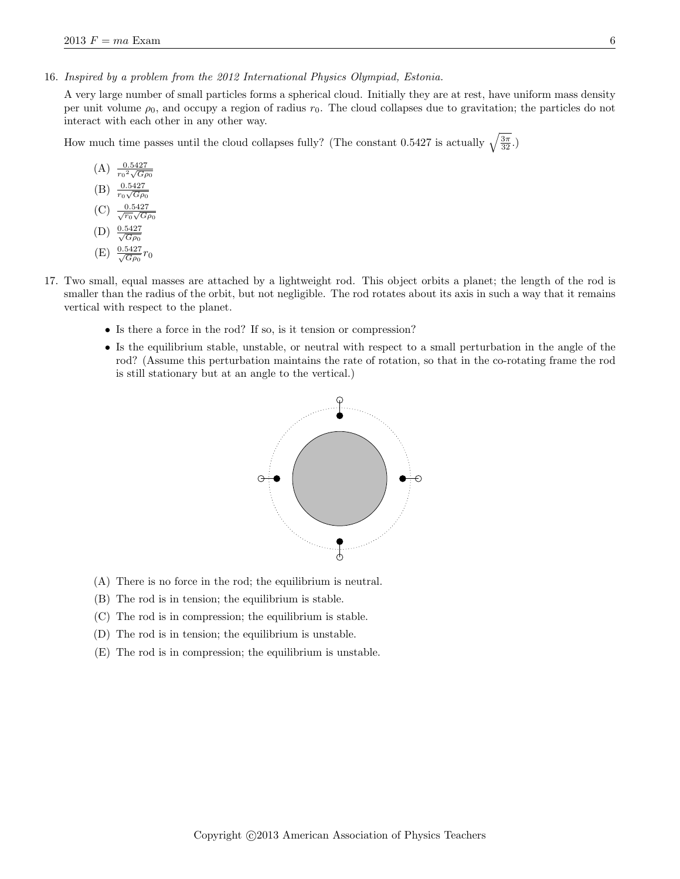16. Inspired by a problem from the 2012 International Physics Olympiad, Estonia.

A very large number of small particles forms a spherical cloud. Initially they are at rest, have uniform mass density per unit volume  $\rho_0$ , and occupy a region of radius  $r_0$ . The cloud collapses due to gravitation; the particles do not interact with each other in any other way.

How much time passes until the cloud collapses fully? (The constant 0.5427 is actually  $\sqrt{\frac{3\pi}{32}}$ .)

- $(A)$   $\frac{0.5427}{r_1^2 \sqrt{C_2}}$  $r_0$  $\frac{1.54}{2,7}$  $G\rho_0$  $(B)$  $r_0$ √  $G\rho_0$  $(C)$  $\frac{0}{\sqrt{r_0}}$  $\frac{1}{2}$  $G\rho_0$  $(D)$  $\frac{0.5427}{\sqrt{2}}$  $G\rho_0$  $(E) \frac{0.5427}{\sqrt{G \rho_0}} r_0$
- 17. Two small, equal masses are attached by a lightweight rod. This object orbits a planet; the length of the rod is smaller than the radius of the orbit, but not negligible. The rod rotates about its axis in such a way that it remains vertical with respect to the planet.
	- Is there a force in the rod? If so, is it tension or compression?
	- Is the equilibrium stable, unstable, or neutral with respect to a small perturbation in the angle of the rod? (Assume this perturbation maintains the rate of rotation, so that in the co-rotating frame the rod is still stationary but at an angle to the vertical.)



- (A) There is no force in the rod; the equilibrium is neutral.
- (B) The rod is in tension; the equilibrium is stable.
- (C) The rod is in compression; the equilibrium is stable.
- (D) The rod is in tension; the equilibrium is unstable.
- (E) The rod is in compression; the equilibrium is unstable.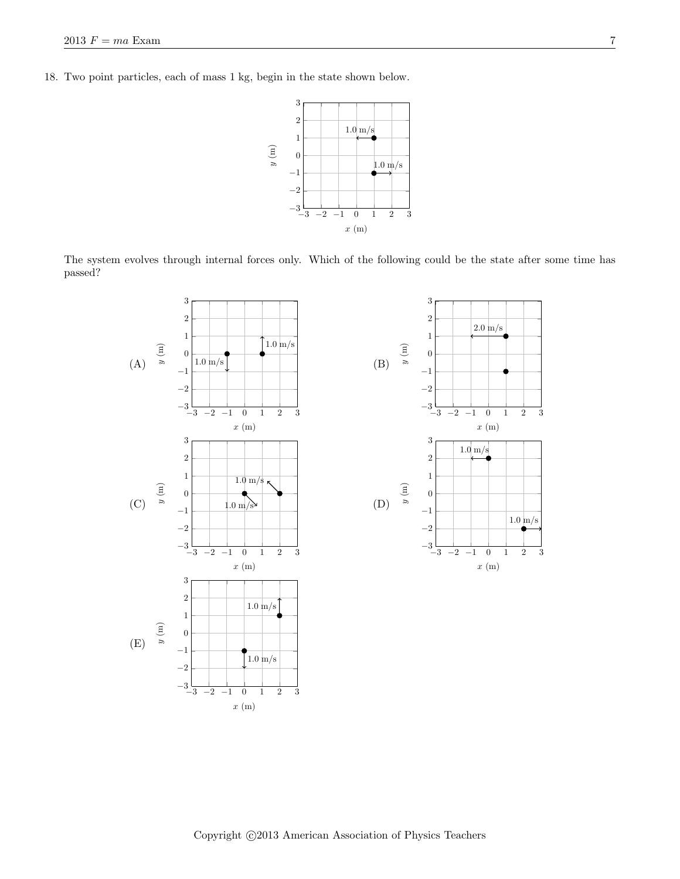18. Two point particles, each of mass 1 kg, begin in the state shown below.



The system evolves through internal forces only. Which of the following could be the state after some time has passed?

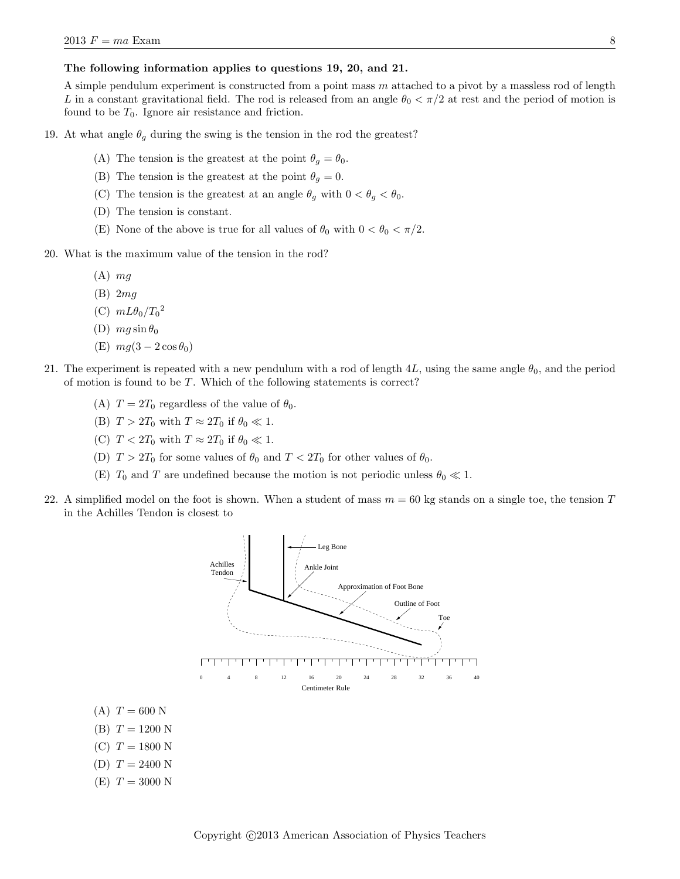### The following information applies to questions 19, 20, and 21.

A simple pendulum experiment is constructed from a point mass  $m$  attached to a pivot by a massless rod of length L in a constant gravitational field. The rod is released from an angle  $\theta_0 < \pi/2$  at rest and the period of motion is found to be  $T_0$ . Ignore air resistance and friction.

19. At what angle  $\theta_g$  during the swing is the tension in the rod the greatest?

- (A) The tension is the greatest at the point  $\theta_g = \theta_0$ .
- (B) The tension is the greatest at the point  $\theta_g = 0$ .
- (C) The tension is the greatest at an angle  $\theta_g$  with  $0 < \theta_g < \theta_0$ .
- (D) The tension is constant.
- (E) None of the above is true for all values of  $\theta_0$  with  $0 < \theta_0 < \pi/2$ .
- 20. What is the maximum value of the tension in the rod?
	- $(A)$  mg
	- (B) 2mg
	- (C)  $mL\theta_0/T_0^2$
	- (D)  $mg \sin \theta_0$
	- (E)  $mg(3-2\cos\theta_0)$
- 21. The experiment is repeated with a new pendulum with a rod of length 4L, using the same angle  $\theta_0$ , and the period of motion is found to be  $T$ . Which of the following statements is correct?
	- (A)  $T = 2T_0$  regardless of the value of  $\theta_0$ .
	- (B)  $T > 2T_0$  with  $T \approx 2T_0$  if  $\theta_0 \ll 1$ .
	- (C)  $T < 2T_0$  with  $T \approx 2T_0$  if  $\theta_0 \ll 1$ .
	- (D)  $T > 2T_0$  for some values of  $\theta_0$  and  $T < 2T_0$  for other values of  $\theta_0$ .
	- (E)  $T_0$  and T are undefined because the motion is not periodic unless  $\theta_0 \ll 1$ .
- 22. A simplified model on the foot is shown. When a student of mass  $m = 60$  kg stands on a single toe, the tension T in the Achilles Tendon is closest to



(C)  $T = 1800$  N

(A)  $T = 600$  N  $(B) T = 1200 N$ 

- (D)  $T = 2400$  N
- $(E) T = 3000 N$